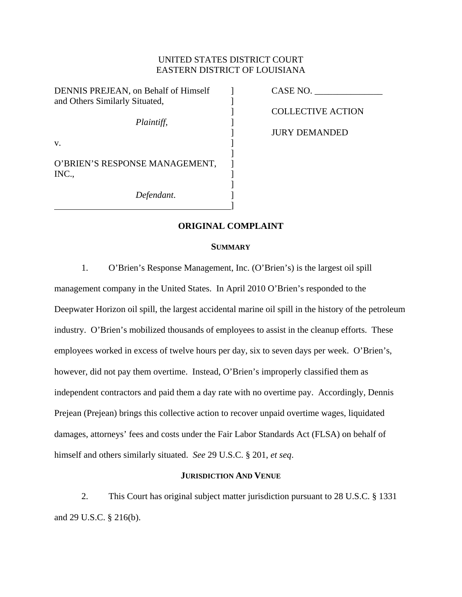## UNITED STATES DISTRICT COURT EASTERN DISTRICT OF LOUISIANA

DENNIS PREJEAN, on Behalf of Himself ] CASE NO. and Others Similarly Situated,  $\qquad$  ]

*Plaintiff*,

 $\mathbf v$ .  $\qquad \qquad \qquad$  ]

O'BRIEN'S RESPONSE MANAGEMENT, INC.,

 $\mathbb{R}^n$  , the contract of the contract of  $\mathbb{R}^n$ 

]

]

*Defendant*.

] COLLECTIVE ACTION

] JURY DEMANDED

# **ORIGINAL COMPLAINT**

### **SUMMARY**

1. O'Brien's Response Management, Inc. (O'Brien's) is the largest oil spill

management company in the United States. In April 2010 O'Brien's responded to the Deepwater Horizon oil spill, the largest accidental marine oil spill in the history of the petroleum industry. O'Brien's mobilized thousands of employees to assist in the cleanup efforts. These employees worked in excess of twelve hours per day, six to seven days per week. O'Brien's, however, did not pay them overtime. Instead, O'Brien's improperly classified them as independent contractors and paid them a day rate with no overtime pay. Accordingly, Dennis Prejean (Prejean) brings this collective action to recover unpaid overtime wages, liquidated damages, attorneys' fees and costs under the Fair Labor Standards Act (FLSA) on behalf of himself and others similarly situated. *See* 29 U.S.C. § 201, *et seq*.

### **JURISDICTION AND VENUE**

2. This Court has original subject matter jurisdiction pursuant to 28 U.S.C. § 1331 and 29 U.S.C. § 216(b).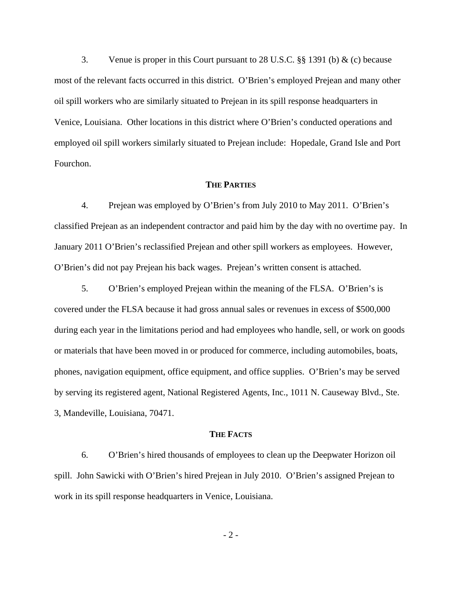3. Venue is proper in this Court pursuant to 28 U.S.C. §§ 1391 (b) & (c) because most of the relevant facts occurred in this district. O'Brien's employed Prejean and many other oil spill workers who are similarly situated to Prejean in its spill response headquarters in Venice, Louisiana. Other locations in this district where O'Brien's conducted operations and employed oil spill workers similarly situated to Prejean include: Hopedale, Grand Isle and Port Fourchon.

#### **THE PARTIES**

4. Prejean was employed by O'Brien's from July 2010 to May 2011. O'Brien's classified Prejean as an independent contractor and paid him by the day with no overtime pay. In January 2011 O'Brien's reclassified Prejean and other spill workers as employees. However, O'Brien's did not pay Prejean his back wages. Prejean's written consent is attached.

5. O'Brien's employed Prejean within the meaning of the FLSA. O'Brien's is covered under the FLSA because it had gross annual sales or revenues in excess of \$500,000 during each year in the limitations period and had employees who handle, sell, or work on goods or materials that have been moved in or produced for commerce, including automobiles, boats, phones, navigation equipment, office equipment, and office supplies. O'Brien's may be served by serving its registered agent, National Registered Agents, Inc., 1011 N. Causeway Blvd., Ste. 3, Mandeville, Louisiana, 70471.

#### **THE FACTS**

6. O'Brien's hired thousands of employees to clean up the Deepwater Horizon oil spill. John Sawicki with O'Brien's hired Prejean in July 2010. O'Brien's assigned Prejean to work in its spill response headquarters in Venice, Louisiana.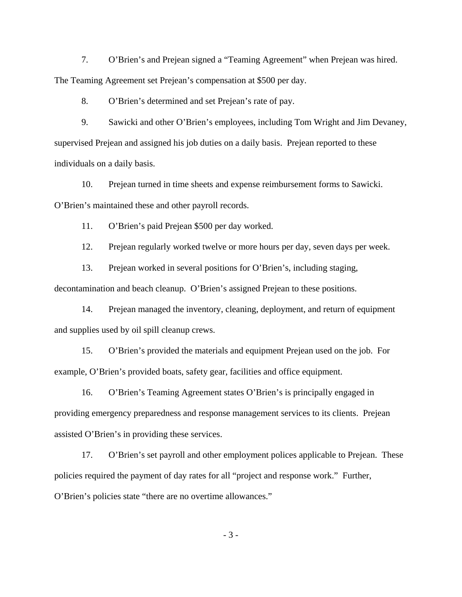7. O'Brien's and Prejean signed a "Teaming Agreement" when Prejean was hired. The Teaming Agreement set Prejean's compensation at \$500 per day.

8. O'Brien's determined and set Prejean's rate of pay.

9. Sawicki and other O'Brien's employees, including Tom Wright and Jim Devaney, supervised Prejean and assigned his job duties on a daily basis. Prejean reported to these individuals on a daily basis.

10. Prejean turned in time sheets and expense reimbursement forms to Sawicki. O'Brien's maintained these and other payroll records.

11. O'Brien's paid Prejean \$500 per day worked.

12. Prejean regularly worked twelve or more hours per day, seven days per week.

13. Prejean worked in several positions for O'Brien's, including staging,

decontamination and beach cleanup. O'Brien's assigned Prejean to these positions.

14. Prejean managed the inventory, cleaning, deployment, and return of equipment and supplies used by oil spill cleanup crews.

15. O'Brien's provided the materials and equipment Prejean used on the job. For example, O'Brien's provided boats, safety gear, facilities and office equipment.

16. O'Brien's Teaming Agreement states O'Brien's is principally engaged in providing emergency preparedness and response management services to its clients. Prejean assisted O'Brien's in providing these services.

17. O'Brien's set payroll and other employment polices applicable to Prejean. These policies required the payment of day rates for all "project and response work." Further, O'Brien's policies state "there are no overtime allowances."

- 3 -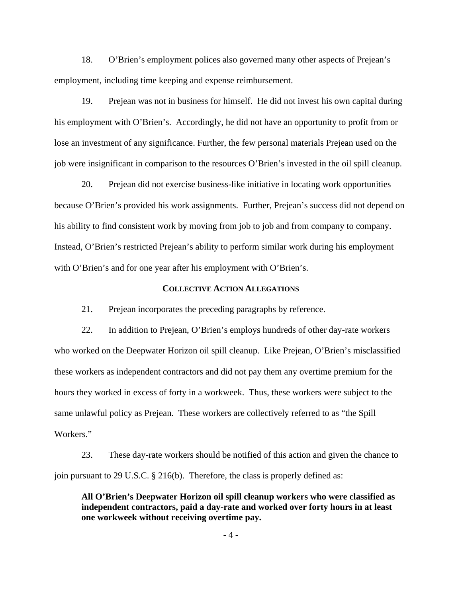18. O'Brien's employment polices also governed many other aspects of Prejean's employment, including time keeping and expense reimbursement.

19. Prejean was not in business for himself. He did not invest his own capital during his employment with O'Brien's. Accordingly, he did not have an opportunity to profit from or lose an investment of any significance. Further, the few personal materials Prejean used on the job were insignificant in comparison to the resources O'Brien's invested in the oil spill cleanup.

20. Prejean did not exercise business-like initiative in locating work opportunities because O'Brien's provided his work assignments. Further, Prejean's success did not depend on his ability to find consistent work by moving from job to job and from company to company. Instead, O'Brien's restricted Prejean's ability to perform similar work during his employment with O'Brien's and for one year after his employment with O'Brien's.

### **COLLECTIVE ACTION ALLEGATIONS**

21. Prejean incorporates the preceding paragraphs by reference.

22. In addition to Prejean, O'Brien's employs hundreds of other day-rate workers who worked on the Deepwater Horizon oil spill cleanup. Like Prejean, O'Brien's misclassified these workers as independent contractors and did not pay them any overtime premium for the hours they worked in excess of forty in a workweek. Thus, these workers were subject to the same unlawful policy as Prejean. These workers are collectively referred to as "the Spill Workers."

23. These day-rate workers should be notified of this action and given the chance to join pursuant to 29 U.S.C. § 216(b). Therefore, the class is properly defined as:

**All O'Brien's Deepwater Horizon oil spill cleanup workers who were classified as independent contractors, paid a day-rate and worked over forty hours in at least one workweek without receiving overtime pay.**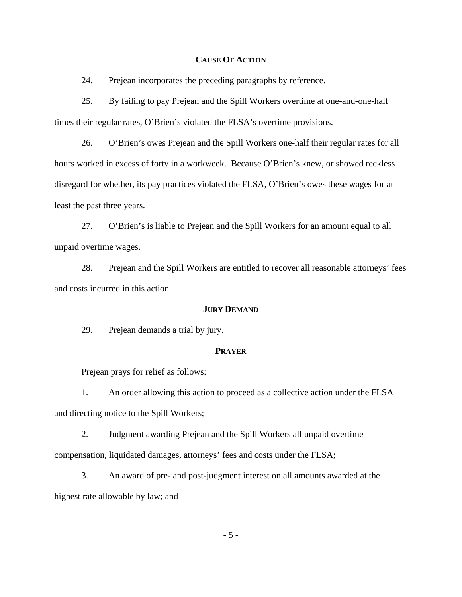### **CAUSE OF ACTION**

24. Prejean incorporates the preceding paragraphs by reference.

25. By failing to pay Prejean and the Spill Workers overtime at one-and-one-half times their regular rates, O'Brien's violated the FLSA's overtime provisions.

26. O'Brien's owes Prejean and the Spill Workers one-half their regular rates for all hours worked in excess of forty in a workweek. Because O'Brien's knew, or showed reckless disregard for whether, its pay practices violated the FLSA, O'Brien's owes these wages for at least the past three years.

27. O'Brien's is liable to Prejean and the Spill Workers for an amount equal to all unpaid overtime wages.

28. Prejean and the Spill Workers are entitled to recover all reasonable attorneys' fees and costs incurred in this action.

#### **JURY DEMAND**

29. Prejean demands a trial by jury.

### **PRAYER**

Prejean prays for relief as follows:

 1. An order allowing this action to proceed as a collective action under the FLSA and directing notice to the Spill Workers;

 2. Judgment awarding Prejean and the Spill Workers all unpaid overtime compensation, liquidated damages, attorneys' fees and costs under the FLSA;

 3. An award of pre- and post-judgment interest on all amounts awarded at the highest rate allowable by law; and